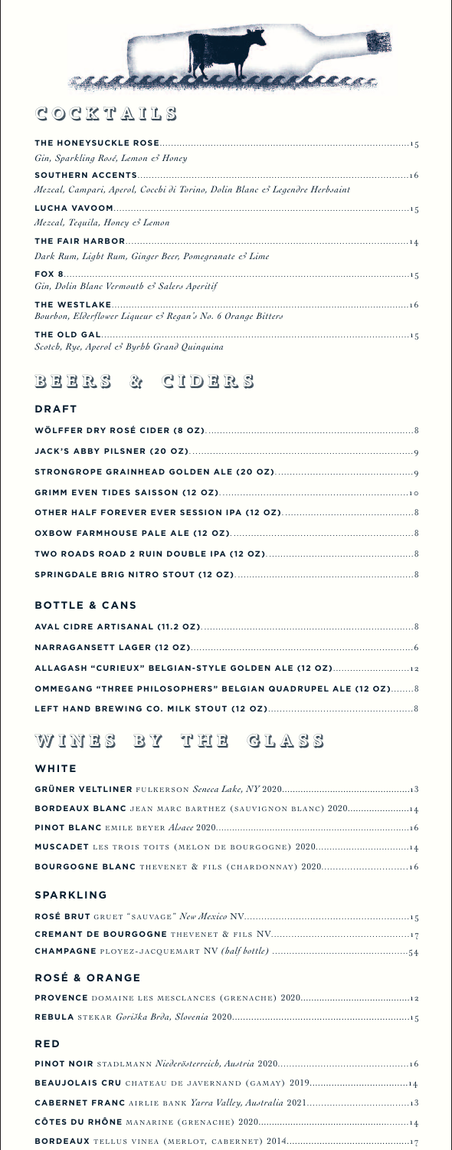

# COCKTAILS

| Gin, Sparkling Rosé, Lemon & Honey                                          |  |
|-----------------------------------------------------------------------------|--|
|                                                                             |  |
| Mezcal, Campari, Aperol, Cocchi di Torino, Dolin Blanc & Legendre Herbsaint |  |
|                                                                             |  |
| Mezcal, Tequila, Honey & Lemon                                              |  |
|                                                                             |  |
| Dark Rum, Light Rum, Ginger Beer, Pomegranate & Lime                        |  |
| Gin, Dolin Blanc Vermouth & Salers Aperitif                                 |  |
| Bourbon, Elderflower Liqueur & Regan's No. 6 Orange Bitters                 |  |
| Scotch, Rye, Aperol & Byrhh Grand Quinquina                                 |  |

# BEERS & CIDERS

### **DRAFT**

### **BOTTLE & CANS**

| ALLAGASH "CURIEUX" BELGIAN-STYLE GOLDEN ALE (12 OZ)           |  |
|---------------------------------------------------------------|--|
| OMMEGANG "THREE PHILOSOPHERS" BELGIAN QUADRUPEL ALE (12 OZ) 8 |  |
|                                                               |  |

# WINES BY THE GLASS

### WHITE

| <b>BORDEAUX BLANC</b> JEAN MARC BARTHEZ (SAUVIGNON BLANC) 2020 4 |  |
|------------------------------------------------------------------|--|
|                                                                  |  |
|                                                                  |  |
| <b>BOURGOGNE BLANC</b> THEVENET & FILS (CHARDONNAY) 2020 16      |  |

#### **SPARKLING**

# **ROSÉ & ORANGE**

#### **RED**